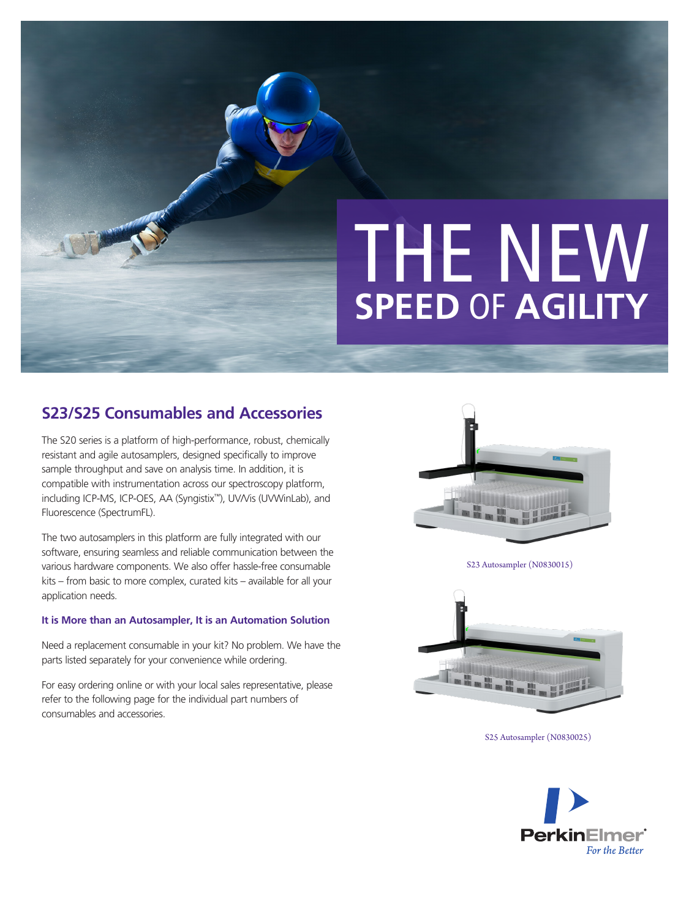# THE NEW **SPEED** OF **AGILITY**

# **S23/S25 Consumables and Accessories**

The S20 series is a platform of high-performance, robust, chemically resistant and agile autosamplers, designed specifically to improve sample throughput and save on analysis time. In addition, it is compatible with instrumentation across our spectroscopy platform, including ICP-MS, ICP-OES, AA (Syngistix™), UV/Vis (UVWinLab), and Fluorescence (SpectrumFL).

The two autosamplers in this platform are fully integrated with our software, ensuring seamless and reliable communication between the various hardware components. We also offer hassle-free consumable kits – from basic to more complex, curated kits – available for all your application needs.

#### **It is More than an Autosampler, It is an Automation Solution**

Need a replacement consumable in your kit? No problem. We have the parts listed separately for your convenience while ordering.

For easy ordering online or with your local sales representative, please refer to the following page for the individual part numbers of consumables and accessories.



S23 Autosampler (N0830015)



S25 Autosampler (N0830025)